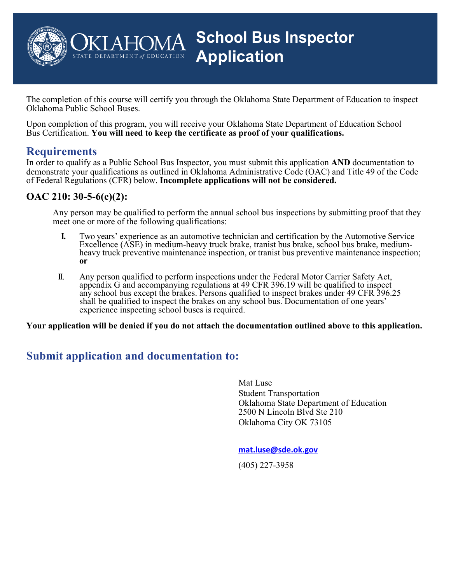

The completion of this course will certify you through the Oklahoma State Department of Education to inspect Oklahoma Public School Buses.

Upon completion of this program, you will receive your Oklahoma State Department of Education School Bus Certification. **You will need to keep the certificate as proof of your qualifications.**

### **Requirements**

In order to qualify as a Public School Bus Inspector, you must submit this application **AND** documentation to demonstrate your qualifications as outlined in Oklahoma Administrative Code (OAC) and Title 49 of the Code of Federal Regulations (CFR) below. **Incomplete applications will not be considered.**

#### **OAC 210: 30-5-6(c)(2):**

Any person may be qualified to perform the annual school bus inspections by submitting proof that they meet one or more of the following qualifications:

- **I.** Two years' experience as an automotive technician and certification by the Automotive Service Excellence (ASE) in medium-heavy truck brake, tranist bus brake, school bus brake, mediumheavy truck preventive maintenance inspection, or tranist bus preventive maintenance inspection; **or**
- II. Any person qualified to perform inspections under the Federal Motor Carrier Safety Act, appendix G and accompanying regulations at 49 CFR 396.19 will be qualified to inspect any school bus except the brakes. Persons qualified to inspect brakes under 49 CFR 396.25 shall be qualified to inspect the brakes on any school bus. Documentation of one years' experience inspecting school buses is required.

**Your application will be denied if you do not attach the documentation outlined above to this application.**

### **Submit application and documentation to:**

Mat Luse Student Transportation Oklahoma State Department of Education 2500 N Lincoln Blvd Ste 210 Oklahoma City OK 73105

**mat.luse@sde.ok.gov**

(405) 227-3958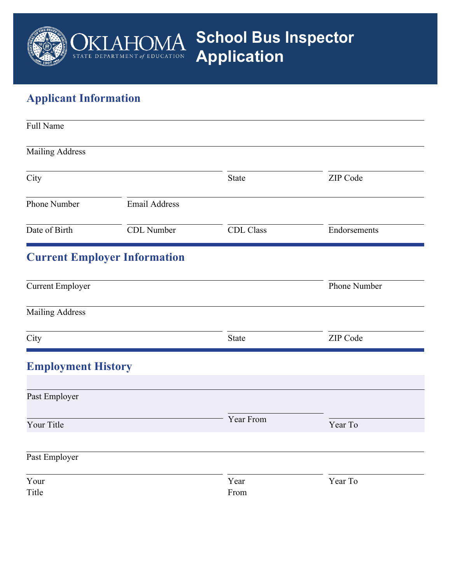

# **Applicant Information**

| Full Name                 |                                     |                  |              |  |  |
|---------------------------|-------------------------------------|------------------|--------------|--|--|
| <b>Mailing Address</b>    |                                     |                  |              |  |  |
| City                      |                                     | State            | ZIP Code     |  |  |
| Phone Number              | <b>Email Address</b>                |                  |              |  |  |
| Date of Birth             | CDL Number                          | <b>CDL</b> Class | Endorsements |  |  |
|                           | <b>Current Employer Information</b> |                  |              |  |  |
| <b>Current Employer</b>   |                                     |                  | Phone Number |  |  |
| <b>Mailing Address</b>    |                                     |                  |              |  |  |
| City                      |                                     | State            | ZIP Code     |  |  |
| <b>Employment History</b> |                                     |                  |              |  |  |
| Past Employer             |                                     |                  |              |  |  |
| Your Title                |                                     | Year From        | Year To      |  |  |
| Past Employer             |                                     |                  |              |  |  |
| Your<br>Title             |                                     | Year<br>From     | Year To      |  |  |